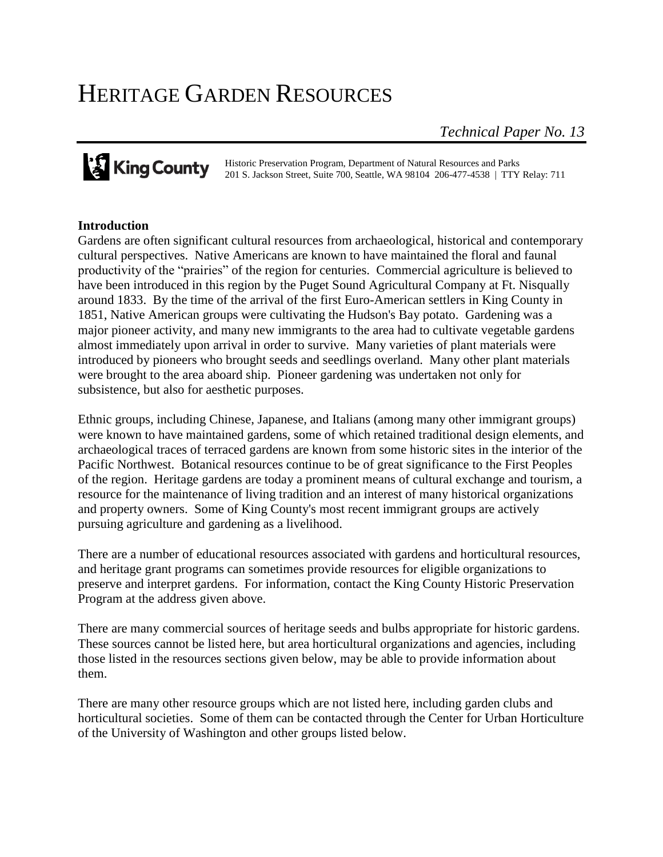# HERITAGE GARDEN RESOURCES

*Technical Paper No. 13*

Historic Preservation Program, Department of Natural Resources and Parks 201 S. Jackson Street, Suite 700, Seattle, WA 98104 206-477-4538 | TTY Relay: 711

#### **Introduction**

Gardens are often significant cultural resources from archaeological, historical and contemporary cultural perspectives. Native Americans are known to have maintained the floral and faunal productivity of the "prairies" of the region for centuries. Commercial agriculture is believed to have been introduced in this region by the Puget Sound Agricultural Company at Ft. Nisqually around 1833. By the time of the arrival of the first Euro-American settlers in King County in 1851, Native American groups were cultivating the Hudson's Bay potato. Gardening was a major pioneer activity, and many new immigrants to the area had to cultivate vegetable gardens almost immediately upon arrival in order to survive. Many varieties of plant materials were introduced by pioneers who brought seeds and seedlings overland. Many other plant materials were brought to the area aboard ship. Pioneer gardening was undertaken not only for subsistence, but also for aesthetic purposes.

Ethnic groups, including Chinese, Japanese, and Italians (among many other immigrant groups) were known to have maintained gardens, some of which retained traditional design elements, and archaeological traces of terraced gardens are known from some historic sites in the interior of the Pacific Northwest. Botanical resources continue to be of great significance to the First Peoples of the region. Heritage gardens are today a prominent means of cultural exchange and tourism, a resource for the maintenance of living tradition and an interest of many historical organizations and property owners. Some of King County's most recent immigrant groups are actively pursuing agriculture and gardening as a livelihood.

There are a number of educational resources associated with gardens and horticultural resources, and heritage grant programs can sometimes provide resources for eligible organizations to preserve and interpret gardens. For information, contact the King County Historic Preservation Program at the address given above.

There are many commercial sources of heritage seeds and bulbs appropriate for historic gardens. These sources cannot be listed here, but area horticultural organizations and agencies, including those listed in the resources sections given below, may be able to provide information about them.

There are many other resource groups which are not listed here, including garden clubs and horticultural societies. Some of them can be contacted through the Center for Urban Horticulture of the University of Washington and other groups listed below.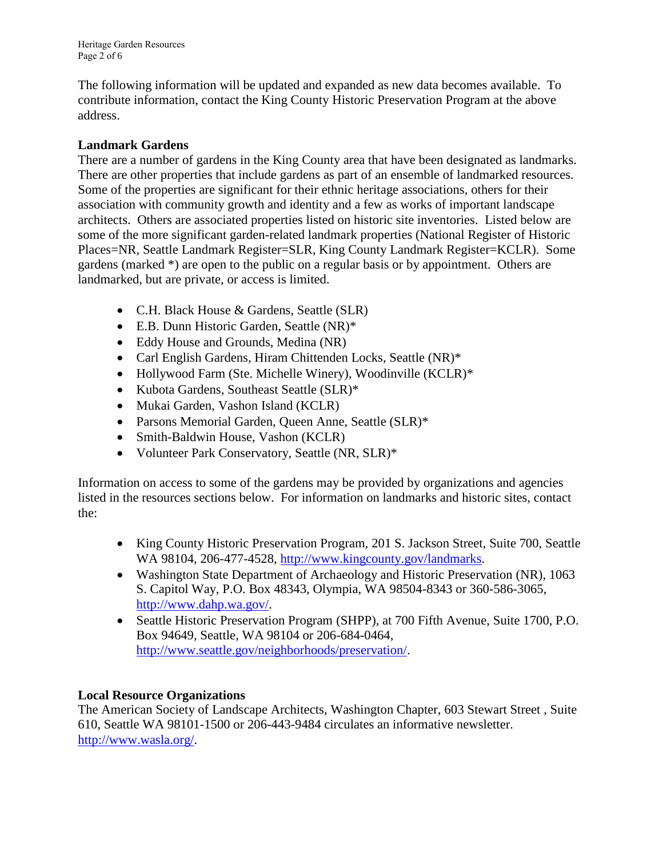Heritage Garden Resources Page 2 of 6

The following information will be updated and expanded as new data becomes available. To contribute information, contact the King County Historic Preservation Program at the above address.

### **Landmark Gardens**

There are a number of gardens in the King County area that have been designated as landmarks. There are other properties that include gardens as part of an ensemble of landmarked resources. Some of the properties are significant for their ethnic heritage associations, others for their association with community growth and identity and a few as works of important landscape architects. Others are associated properties listed on historic site inventories. Listed below are some of the more significant garden-related landmark properties (National Register of Historic Places=NR, Seattle Landmark Register=SLR, King County Landmark Register=KCLR). Some gardens (marked \*) are open to the public on a regular basis or by appointment. Others are landmarked, but are private, or access is limited.

- C.H. Black House & Gardens, Seattle (SLR)
- E.B. Dunn Historic Garden, Seattle (NR)\*
- Eddy House and Grounds, Medina (NR)
- Carl English Gardens, Hiram Chittenden Locks, Seattle (NR)\*
- Hollywood Farm (Ste. Michelle Winery), Woodinville (KCLR)\*
- Kubota Gardens, Southeast Seattle (SLR)\*
- Mukai Garden, Vashon Island (KCLR)
- Parsons Memorial Garden, Queen Anne, Seattle (SLR)\*
- Smith-Baldwin House, Vashon (KCLR)
- Volunteer Park Conservatory, Seattle (NR, SLR)\*

Information on access to some of the gardens may be provided by organizations and agencies listed in the resources sections below. For information on landmarks and historic sites, contact the:

- King County Historic Preservation Program, 201 S. Jackson Street, Suite 700, Seattle WA 98104, 206-477-4528, [http://www.kingcounty.gov/landmarks.](http://www.kingcounty.gov/landmarks)
- Washington State Department of Archaeology and Historic Preservation (NR), 1063 S. Capitol Way, P.O. Box 48343, Olympia, WA 98504-8343 or 360-586-3065, [http://www.dahp.wa.gov/.](http://www.dahp.wa.gov/)
- Seattle Historic Preservation Program (SHPP), at 700 Fifth Avenue, Suite 1700, P.O. Box 94649, Seattle, WA 98104 or 206-684-0464, [http://www.seattle.gov/neighborhoods/preservation/.](http://www.seattle.gov/neighborhoods/preservation/)

#### **Local Resource Organizations**

The American Society of Landscape Architects, Washington Chapter, 603 Stewart Street , Suite 610, Seattle WA 98101-1500 or 206-443-9484 circulates an informative newsletter. [http://www.wasla.org/.](http://www.wasla.org/)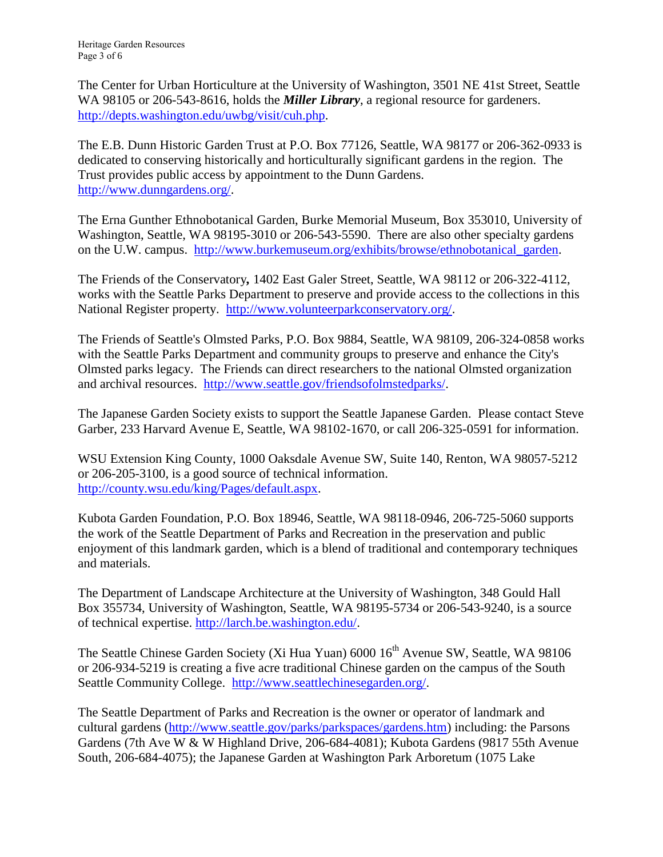The Center for Urban Horticulture at the University of Washington, 3501 NE 41st Street, Seattle WA 98105 or 206-543-8616, holds the *Miller Library*, a regional resource for gardeners. [http://depts.washington.edu/uwbg/visit/cuh.php.](http://depts.washington.edu/uwbg/visit/cuh.php)

The E.B. Dunn Historic Garden Trust at P.O. Box 77126, Seattle, WA 98177 or 206-362-0933 is dedicated to conserving historically and horticulturally significant gardens in the region. The Trust provides public access by appointment to the Dunn Gardens. [http://www.dunngardens.org/.](http://www.dunngardens.org/)

The Erna Gunther Ethnobotanical Garden, Burke Memorial Museum, Box 353010, University of Washington, Seattle, WA 98195-3010 or 206-543-5590. There are also other specialty gardens on the U.W. campus. [http://www.burkemuseum.org/exhibits/browse/ethnobotanical\\_garden.](http://www.burkemuseum.org/exhibits/browse/ethnobotanical_garden)

The Friends of the Conservatory*,* 1402 East Galer Street, Seattle, WA 98112 or 206-322-4112, works with the Seattle Parks Department to preserve and provide access to the collections in this National Register property. [http://www.volunteerparkconservatory.org/.](http://www.volunteerparkconservatory.org/)

The Friends of Seattle's Olmsted Parks, P.O. Box 9884, Seattle, WA 98109, 206-324-0858 works with the Seattle Parks Department and community groups to preserve and enhance the City's Olmsted parks legacy. The Friends can direct researchers to the national Olmsted organization and archival resources. [http://www.seattle.gov/friendsofolmstedparks/.](http://www.seattle.gov/friendsofolmstedparks/)

The Japanese Garden Society exists to support the Seattle Japanese Garden. Please contact Steve Garber, 233 Harvard Avenue E, Seattle, WA 98102-1670, or call 206-325-0591 for information.

WSU Extension King County, 1000 Oaksdale Avenue SW, Suite 140, Renton, WA 98057-5212 or 206-205-3100, is a good source of technical information. [http://county.wsu.edu/king/Pages/default.aspx.](http://county.wsu.edu/king/Pages/default.aspx)

Kubota Garden Foundation, P.O. Box 18946, Seattle, WA 98118-0946, 206-725-5060 supports the work of the Seattle Department of Parks and Recreation in the preservation and public enjoyment of this landmark garden, which is a blend of traditional and contemporary techniques and materials.

The Department of Landscape Architecture at the University of Washington, 348 Gould Hall Box 355734, University of Washington, Seattle, WA 98195-5734 or 206-543-9240, is a source of technical expertise. [http://larch.be.washington.edu/.](http://larch.be.washington.edu/)

The Seattle Chinese Garden Society (Xi Hua Yuan) 6000 16<sup>th</sup> Avenue SW, Seattle, WA 98106 or 206-934-5219 is creating a five acre traditional Chinese garden on the campus of the South Seattle Community College. [http://www.seattlechinesegarden.org/.](http://www.seattlechinesegarden.org/)

The Seattle Department of Parks and Recreation is the owner or operator of landmark and cultural gardens [\(http://www.seattle.gov/parks/parkspaces/gardens.htm\)](http://www.seattle.gov/parks/parkspaces/gardens.htm) including: the Parsons Gardens (7th Ave W & W Highland Drive, 206-684-4081); Kubota Gardens (9817 55th Avenue South, 206-684-4075); the Japanese Garden at Washington Park Arboretum (1075 Lake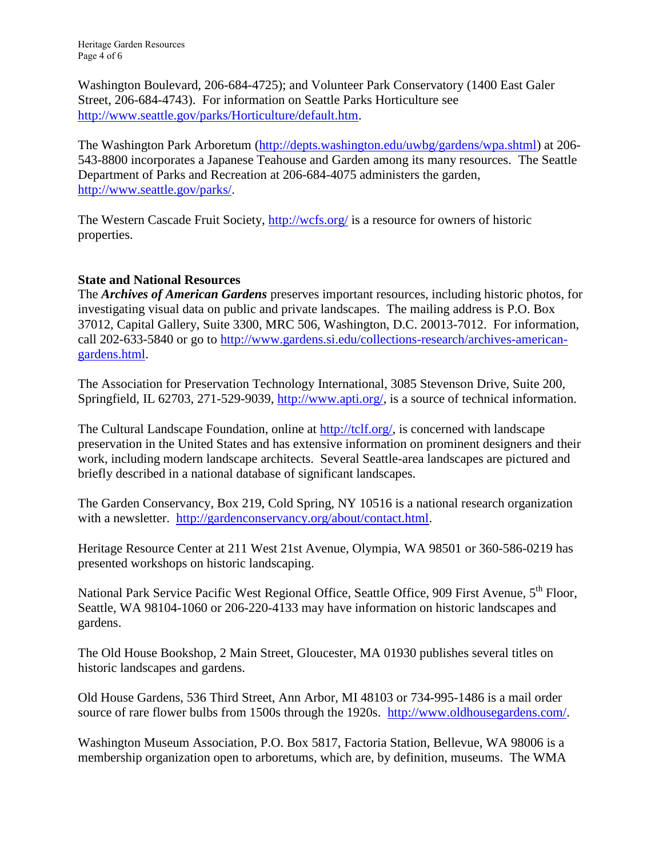Washington Boulevard, 206-684-4725); and Volunteer Park Conservatory (1400 East Galer Street, 206-684-4743). For information on Seattle Parks Horticulture see [http://www.seattle.gov/parks/Horticulture/default.htm.](http://www.seattle.gov/parks/Horticulture/default.htm)

The Washington Park Arboretum [\(http://depts.washington.edu/uwbg/gardens/wpa.shtml\)](http://depts.washington.edu/uwbg/gardens/wpa.shtml) at 206- 543-8800 incorporates a Japanese Teahouse and Garden among its many resources. The Seattle Department of Parks and Recreation at 206-684-4075 administers the garden, [http://www.seattle.gov/parks/.](http://www.seattle.gov/parks/)

The Western Cascade Fruit Society, <http://wcfs.org/> is a resource for owners of historic properties.

## **State and National Resources**

The *Archives of American Gardens* preserves important resources, including historic photos, for investigating visual data on public and private landscapes. The mailing address is P.O. Box 37012, Capital Gallery, Suite 3300, MRC 506, Washington, D.C. 20013-7012. For information, call 202-633-5840 or go to [http://www.gardens.si.edu/collections-research/archives-american](http://www.gardens.si.edu/collections-research/archives-american-gardens.html)[gardens.html.](http://www.gardens.si.edu/collections-research/archives-american-gardens.html)

The Association for Preservation Technology International, 3085 Stevenson Drive, Suite 200, Springfield, IL 62703, 271-529-9039, [http://www.apti.org/,](http://www.apti.org/) is a source of technical information.

The Cultural Landscape Foundation, online at [http://tclf.org/,](http://tclf.org/) is concerned with landscape preservation in the United States and has extensive information on prominent designers and their work, including modern landscape architects. Several Seattle-area landscapes are pictured and briefly described in a national database of significant landscapes.

The Garden Conservancy, Box 219, Cold Spring, NY 10516 is a national research organization with a newsletter. [http://gardenconservancy.org/about/contact.html.](http://gardenconservancy.org/about/contact.html)

Heritage Resource Center at 211 West 21st Avenue, Olympia, WA 98501 or 360-586-0219 has presented workshops on historic landscaping.

National Park Service Pacific West Regional Office, Seattle Office, 909 First Avenue, 5<sup>th</sup> Floor, Seattle, WA 98104-1060 or 206-220-4133 may have information on historic landscapes and gardens.

The Old House Bookshop, 2 Main Street, Gloucester, MA 01930 publishes several titles on historic landscapes and gardens.

Old House Gardens, 536 Third Street, Ann Arbor, MI 48103 or 734-995-1486 is a mail order source of rare flower bulbs from 1500s through the 1920s. [http://www.oldhousegardens.com/.](http://www.oldhousegardens.com/)

Washington Museum Association, P.O. Box 5817, Factoria Station, Bellevue, WA 98006 is a membership organization open to arboretums, which are, by definition, museums. The WMA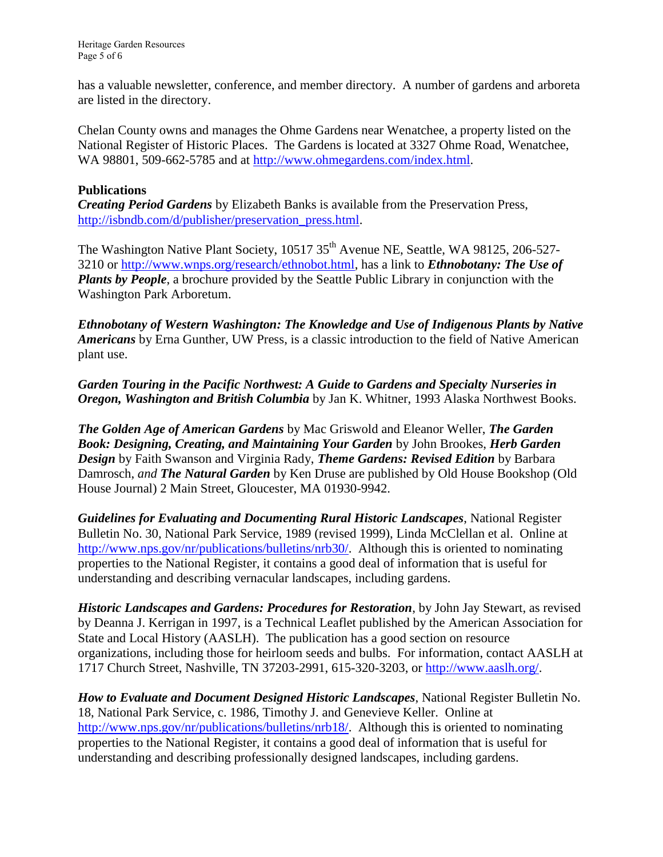has a valuable newsletter, conference, and member directory. A number of gardens and arboreta are listed in the directory.

Chelan County owns and manages the Ohme Gardens near Wenatchee, a property listed on the National Register of Historic Places. The Gardens is located at 3327 Ohme Road, Wenatchee, WA 98801, 509-662-5785 and at [http://www.ohmegardens.com/index.html.](http://www.ohmegardens.com/index.html)

#### **Publications**

*Creating Period Gardens* by Elizabeth Banks is available from the Preservation Press, [http://isbndb.com/d/publisher/preservation\\_press.html.](http://isbndb.com/d/publisher/preservation_press.html)

The Washington Native Plant Society, 10517 35<sup>th</sup> Avenue NE, Seattle, WA 98125, 206-527-3210 or [http://www.wnps.org/research/ethnobot.html,](http://www.wnps.org/research/ethnobot.html) has a link to *Ethnobotany: The Use of Plants by People*, a brochure provided by the Seattle Public Library in conjunction with the Washington Park Arboretum.

*Ethnobotany of Western Washington: The Knowledge and Use of Indigenous Plants by Native Americans* by Erna Gunther, UW Press, is a classic introduction to the field of Native American plant use.

*Garden Touring in the Pacific Northwest: A Guide to Gardens and Specialty Nurseries in Oregon, Washington and British Columbia* by Jan K. Whitner, 1993 Alaska Northwest Books.

*The Golden Age of American Gardens* by Mac Griswold and Eleanor Weller, *The Garden Book: Designing, Creating, and Maintaining Your Garden* by John Brookes, *Herb Garden Design* by Faith Swanson and Virginia Rady, *Theme Gardens: Revised Edition* by Barbara Damrosch, *and The Natural Garden* by Ken Druse are published by Old House Bookshop (Old House Journal) 2 Main Street, Gloucester, MA 01930-9942.

*Guidelines for Evaluating and Documenting Rural Historic Landscapes*, National Register Bulletin No. 30, National Park Service, 1989 (revised 1999), Linda McClellan et al. Online at [http://www.nps.gov/nr/publications/bulletins/nrb30/.](http://www.nps.gov/nr/publications/bulletins/nrb30/) Although this is oriented to nominating properties to the National Register, it contains a good deal of information that is useful for understanding and describing vernacular landscapes, including gardens.

*Historic Landscapes and Gardens: Procedures for Restoration*, by John Jay Stewart, as revised by Deanna J. Kerrigan in 1997, is a Technical Leaflet published by the American Association for State and Local History (AASLH). The publication has a good section on resource organizations, including those for heirloom seeds and bulbs. For information, contact AASLH at 1717 Church Street, Nashville, TN 37203-2991, 615-320-3203, or [http://www.aaslh.org/.](http://www.aaslh.org/)

*How to Evaluate and Document Designed Historic Landscapes*, National Register Bulletin No. 18, National Park Service, c. 1986, Timothy J. and Genevieve Keller. Online at [http://www.nps.gov/nr/publications/bulletins/nrb18/.](http://www.nps.gov/nr/publications/bulletins/nrb18/) Although this is oriented to nominating properties to the National Register, it contains a good deal of information that is useful for understanding and describing professionally designed landscapes, including gardens.